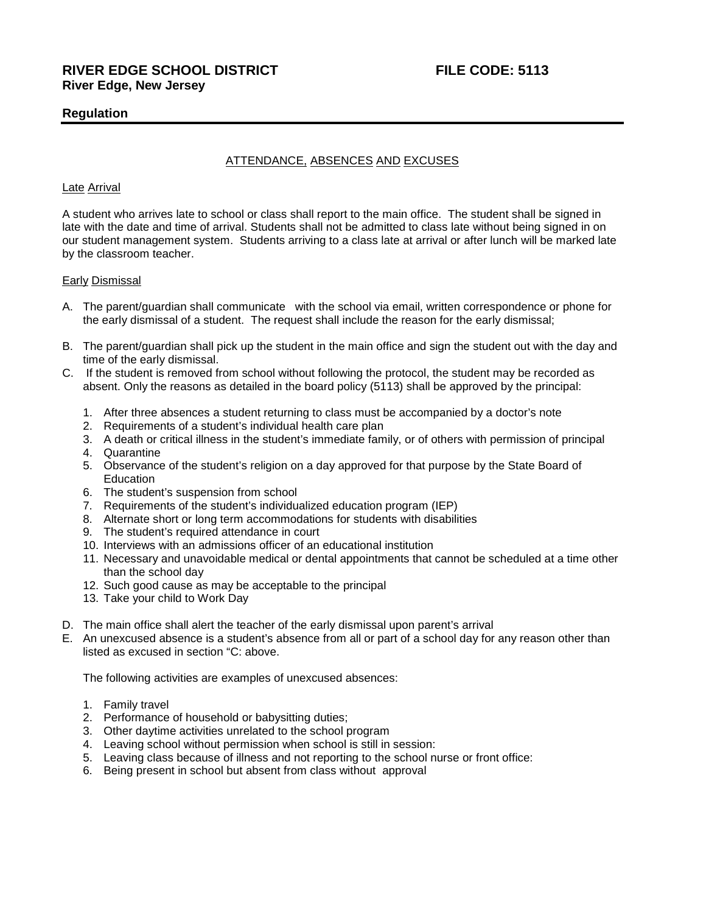# **Regulation**

# ATTENDANCE, ABSENCES AND EXCUSES

## Late Arrival

A student who arrives late to school or class shall report to the main office. The student shall be signed in late with the date and time of arrival. Students shall not be admitted to class late without being signed in on our student management system. Students arriving to a class late at arrival or after lunch will be marked late by the classroom teacher.

### Early Dismissal

- A. The parent/guardian shall communicate with the school via email, written correspondence or phone for the early dismissal of a student. The request shall include the reason for the early dismissal;
- B. The parent/guardian shall pick up the student in the main office and sign the student out with the day and time of the early dismissal.
- C. If the student is removed from school without following the protocol, the student may be recorded as absent. Only the reasons as detailed in the board policy (5113) shall be approved by the principal:
	- 1. After three absences a student returning to class must be accompanied by a doctor's note
	- 2. Requirements of a student's individual health care plan
	- 3. A death or critical illness in the student's immediate family, or of others with permission of principal
	- 4. Quarantine
	- 5. Observance of the student's religion on a day approved for that purpose by the State Board of Education
	- 6. The student's suspension from school
	- 7. Requirements of the student's individualized education program (IEP)
	- 8. Alternate short or long term accommodations for students with disabilities
	- 9. The student's required attendance in court
	- 10. Interviews with an admissions officer of an educational institution
	- 11. Necessary and unavoidable medical or dental appointments that cannot be scheduled at a time other than the school day
	- 12. Such good cause as may be acceptable to the principal
	- 13. Take your child to Work Day
- D. The main office shall alert the teacher of the early dismissal upon parent's arrival
- E. An unexcused absence is a student's absence from all or part of a school day for any reason other than listed as excused in section "C: above.

The following activities are examples of unexcused absences:

- 1. Family travel
- 2. Performance of household or babysitting duties;
- 3. Other daytime activities unrelated to the school program
- 4. Leaving school without permission when school is still in session:
- 5. Leaving class because of illness and not reporting to the school nurse or front office:
- 6. Being present in school but absent from class without approval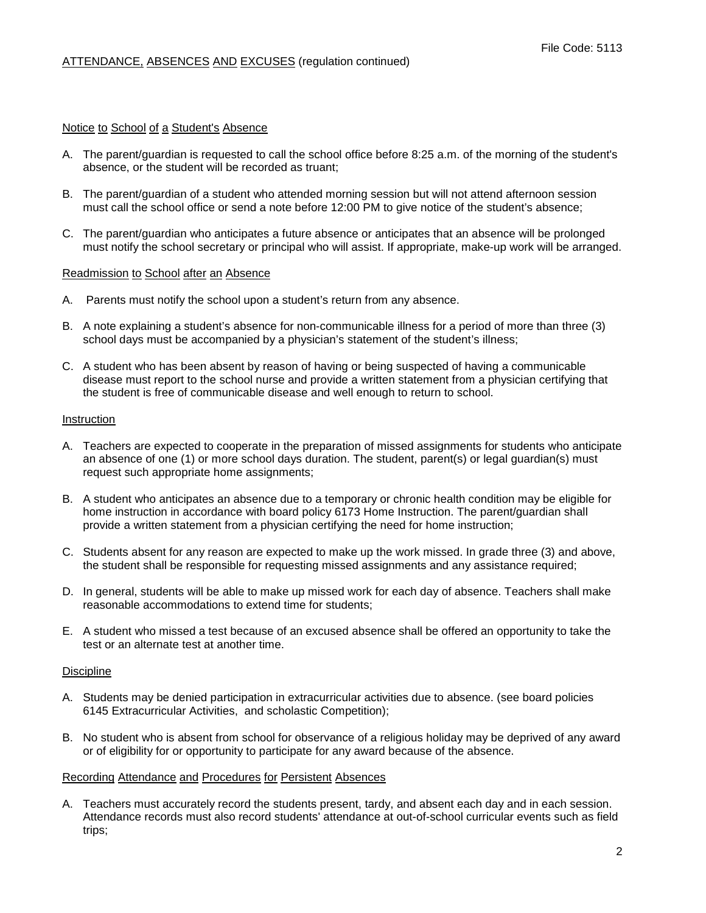## Notice to School of a Student's Absence

- A. The parent/guardian is requested to call the school office before 8:25 a.m. of the morning of the student's absence, or the student will be recorded as truant;
- B. The parent/guardian of a student who attended morning session but will not attend afternoon session must call the school office or send a note before 12:00 PM to give notice of the student's absence;
- C. The parent/guardian who anticipates a future absence or anticipates that an absence will be prolonged must notify the school secretary or principal who will assist. If appropriate, make-up work will be arranged.

### Readmission to School after an Absence

- A. Parents must notify the school upon a student's return from any absence.
- B. A note explaining a student's absence for non-communicable illness for a period of more than three (3) school days must be accompanied by a physician's statement of the student's illness;
- C. A student who has been absent by reason of having or being suspected of having a communicable disease must report to the school nurse and provide a written statement from a physician certifying that the student is free of communicable disease and well enough to return to school.

#### Instruction

- A. Teachers are expected to cooperate in the preparation of missed assignments for students who anticipate an absence of one (1) or more school days duration. The student, parent(s) or legal guardian(s) must request such appropriate home assignments;
- B. A student who anticipates an absence due to a temporary or chronic health condition may be eligible for home instruction in accordance with board policy 6173 Home Instruction. The parent/guardian shall provide a written statement from a physician certifying the need for home instruction;
- C. Students absent for any reason are expected to make up the work missed. In grade three (3) and above, the student shall be responsible for requesting missed assignments and any assistance required;
- D. In general, students will be able to make up missed work for each day of absence. Teachers shall make reasonable accommodations to extend time for students;
- E. A student who missed a test because of an excused absence shall be offered an opportunity to take the test or an alternate test at another time.

### **Discipline**

- A. Students may be denied participation in extracurricular activities due to absence. (see board policies 6145 Extracurricular Activities, and scholastic Competition);
- B. No student who is absent from school for observance of a religious holiday may be deprived of any award or of eligibility for or opportunity to participate for any award because of the absence.

### Recording Attendance and Procedures for Persistent Absences

A. Teachers must accurately record the students present, tardy, and absent each day and in each session. Attendance records must also record students' attendance at out-of-school curricular events such as field trips;